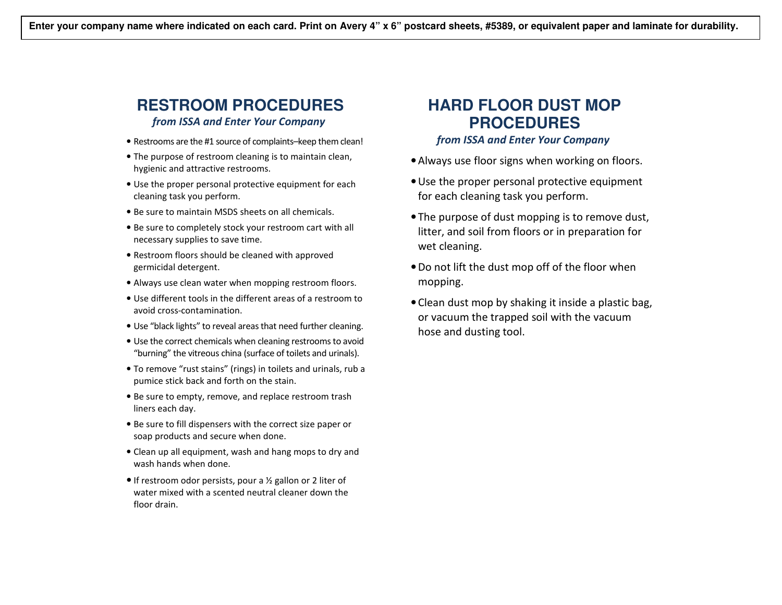### **RESTROOM PROCEDURES** from ISSA and Enter Your Company

- Restrooms are the #1 source of complaints–keep them clean!
- The purpose of restroom cleaning is to maintain clean, hygienic and attractive restrooms.
- Use the proper personal protective equipment for each cleaning task you perform.
- Be sure to maintain MSDS sheets on all chemicals.
- Be sure to completely stock your restroom cart with all necessary supplies to save time.
- Restroom floors should be cleaned with approved germicidal detergent.
- Always use clean water when mopping restroom floors.
- Use different tools in the different areas of a restroom to avoid cross-contamination.
- Use "black lights" to reveal areas that need further cleaning.
- Use the correct chemicals when cleaning restrooms to avoid "burning" the vitreous china (surface of toilets and urinals).
- To remove "rust stains" (rings) in toilets and urinals, rub a pumice stick back and forth on the stain.
- Be sure to empty, remove, and replace restroom trash liners each day.
- Be sure to fill dispensers with the correct size paper or soap products and secure when done.
- Clean up all equipment, wash and hang mops to dry and wash hands when done.
- If restroom odor persists, pour a ½ gallon or 2 liter of water mixed with a scented neutral cleaner down thefloor drain.

# **HARD FLOOR DUST MOP PROCEDURES**

#### from ISSA and Enter Your Company

- •Always use floor signs when working on floors.
- •Use the proper personal protective equipment for each cleaning task you perform.
- The purpose of dust mopping is to remove dust, litter, and soil from floors or in preparation for wet cleaning.
- •Do not lift the dust mop off of the floor when mopping.
- Clean dust mop by shaking it inside a plastic bag, or vacuum the trapped soil with the vacuum hose and dusting tool.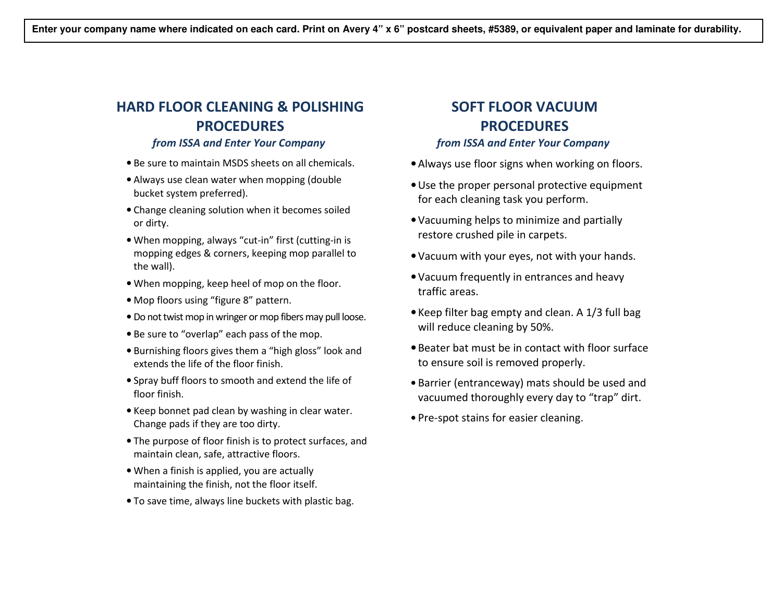## HARD FLOOR CLEANING & POLISHING PROCEDURES

#### from ISSA and Enter Your Company

- Be sure to maintain MSDS sheets on all chemicals.
- Always use clean water when mopping (double bucket system preferred).
- Change cleaning solution when it becomes soiled or dirty.
- When mopping, always "cut-in" first (cutting-in is mopping edges & corners, keeping mop parallel to the wall).
- When mopping, keep heel of mop on the floor.
- Mop floors using "figure 8" pattern.
- Do not twist mop in wringer or mop fibers may pull loose.
- Be sure to "overlap" each pass of the mop.
- Burnishing floors gives them a "high gloss" look and extends the life of the floor finish.
- Spray buff floors to smooth and extend the life of floor finish.
- Keep bonnet pad clean by washing in clear water. Change pads if they are too dirty.
- The purpose of floor finish is to protect surfaces, and maintain clean, safe, attractive floors.
- When a finish is applied, you are actually maintaining the finish, not the floor itself.
- To save time, always line buckets with plastic bag.

## SOFT FLOOR VACUUM PROCEDURES from ISSA and Enter Your Company

- •Always use floor signs when working on floors.
- •Use the proper personal protective equipment for each cleaning task you perform.
- •Vacuuming helps to minimize and partially restore crushed pile in carpets.
- •Vacuum with your eyes, not with your hands.
- •Vacuum frequently in entrances and heavy traffic areas.
- Keep filter bag empty and clean. A 1/3 full bag will reduce cleaning by 50%.
- Beater bat must be in contact with floor surface to ensure soil is removed properly.
- Barrier (entranceway) mats should be used and vacuumed thoroughly every day to "trap" dirt.
- Pre-spot stains for easier cleaning.